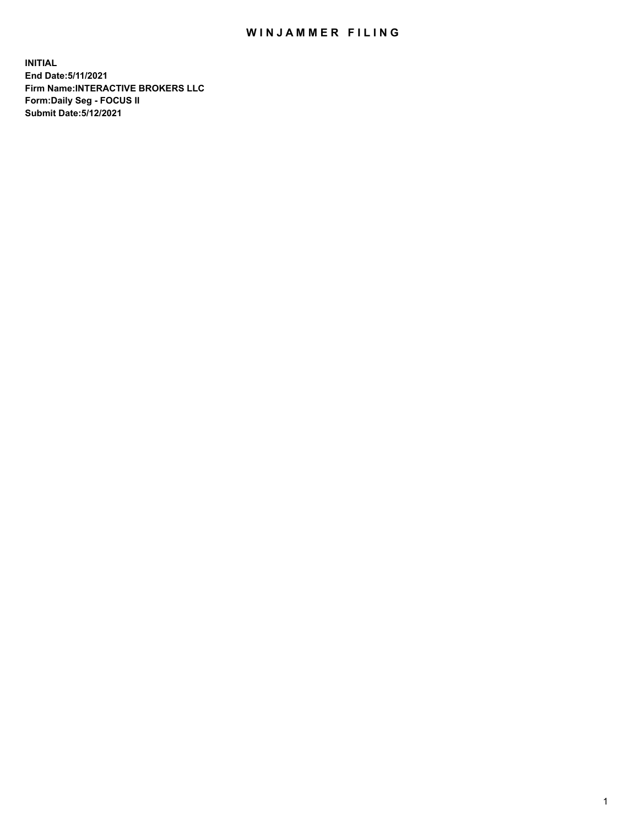## WIN JAMMER FILING

**INITIAL End Date:5/11/2021 Firm Name:INTERACTIVE BROKERS LLC Form:Daily Seg - FOCUS II Submit Date:5/12/2021**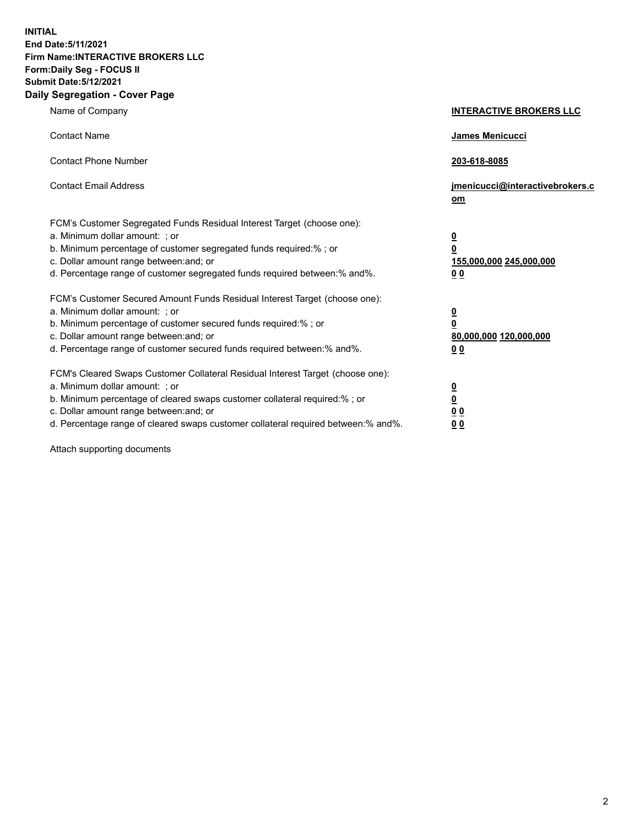**INITIAL End Date:5/11/2021 Firm Name:INTERACTIVE BROKERS LLC Form:Daily Seg - FOCUS II Submit Date:5/12/2021 Daily Segregation - Cover Page**

| Name of Company                                                                                                                                                                                                                                                                                                                | <b>INTERACTIVE BROKERS LLC</b>                                                                  |
|--------------------------------------------------------------------------------------------------------------------------------------------------------------------------------------------------------------------------------------------------------------------------------------------------------------------------------|-------------------------------------------------------------------------------------------------|
| <b>Contact Name</b>                                                                                                                                                                                                                                                                                                            | James Menicucci                                                                                 |
| <b>Contact Phone Number</b>                                                                                                                                                                                                                                                                                                    | 203-618-8085                                                                                    |
| <b>Contact Email Address</b>                                                                                                                                                                                                                                                                                                   | jmenicucci@interactivebrokers.c<br>$om$                                                         |
| FCM's Customer Segregated Funds Residual Interest Target (choose one):<br>a. Minimum dollar amount: ; or<br>b. Minimum percentage of customer segregated funds required:% ; or<br>c. Dollar amount range between: and; or<br>d. Percentage range of customer segregated funds required between:% and%.                         | $\overline{\mathbf{0}}$<br>$\overline{\mathbf{0}}$<br>155,000,000 245,000,000<br>0 <sub>0</sub> |
| FCM's Customer Secured Amount Funds Residual Interest Target (choose one):<br>a. Minimum dollar amount: ; or<br>b. Minimum percentage of customer secured funds required:%; or<br>c. Dollar amount range between: and; or<br>d. Percentage range of customer secured funds required between:% and%.                            | $\overline{\mathbf{0}}$<br>$\overline{\mathbf{0}}$<br>80,000,000 120,000,000<br>0 <sub>0</sub>  |
| FCM's Cleared Swaps Customer Collateral Residual Interest Target (choose one):<br>a. Minimum dollar amount: ; or<br>b. Minimum percentage of cleared swaps customer collateral required:% ; or<br>c. Dollar amount range between: and; or<br>d. Percentage range of cleared swaps customer collateral required between:% and%. | $\overline{\mathbf{0}}$<br><u>0</u><br>0 <sub>0</sub><br>0 <sub>0</sub>                         |

Attach supporting documents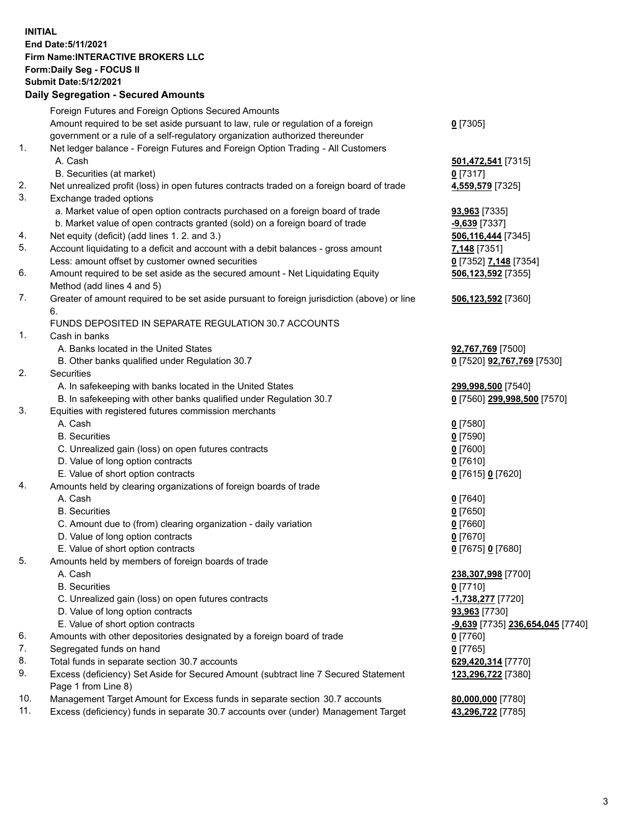## **INITIAL End Date:5/11/2021 Firm Name:INTERACTIVE BROKERS LLC Form:Daily Seg - FOCUS II Submit Date:5/12/2021**

|     | <b>Daily Segregation - Secured Amounts</b>                                                  |                                   |
|-----|---------------------------------------------------------------------------------------------|-----------------------------------|
|     | Foreign Futures and Foreign Options Secured Amounts                                         |                                   |
|     | Amount required to be set aside pursuant to law, rule or regulation of a foreign            | $0$ [7305]                        |
|     | government or a rule of a self-regulatory organization authorized thereunder                |                                   |
| 1.  | Net ledger balance - Foreign Futures and Foreign Option Trading - All Customers             |                                   |
|     | A. Cash                                                                                     | 501,472,541 [7315]                |
|     | B. Securities (at market)                                                                   | $0$ [7317]                        |
| 2.  | Net unrealized profit (loss) in open futures contracts traded on a foreign board of trade   | 4,559,579 [7325]                  |
| 3.  | Exchange traded options                                                                     |                                   |
|     | a. Market value of open option contracts purchased on a foreign board of trade              | 93,963 [7335]                     |
|     | b. Market value of open contracts granted (sold) on a foreign board of trade                | -9,639 [7337]                     |
| 4.  | Net equity (deficit) (add lines 1. 2. and 3.)                                               | 506,116,444 [7345]                |
| 5.  | Account liquidating to a deficit and account with a debit balances - gross amount           | 7,148 [7351]                      |
|     | Less: amount offset by customer owned securities                                            | 0 [7352] 7,148 [7354]             |
| 6.  | Amount required to be set aside as the secured amount - Net Liquidating Equity              | 506,123,592 [7355]                |
|     | Method (add lines 4 and 5)                                                                  |                                   |
| 7.  | Greater of amount required to be set aside pursuant to foreign jurisdiction (above) or line | 506,123,592 [7360]                |
|     | 6.                                                                                          |                                   |
|     | FUNDS DEPOSITED IN SEPARATE REGULATION 30.7 ACCOUNTS                                        |                                   |
| 1.  | Cash in banks                                                                               |                                   |
|     | A. Banks located in the United States                                                       | 92,767,769 [7500]                 |
|     | B. Other banks qualified under Regulation 30.7                                              | 0 [7520] <b>92,767,769</b> [7530] |
| 2.  | Securities                                                                                  |                                   |
|     | A. In safekeeping with banks located in the United States                                   | 299,998,500 [7540]                |
|     | B. In safekeeping with other banks qualified under Regulation 30.7                          | 0 [7560] 299,998,500 [7570]       |
| 3.  | Equities with registered futures commission merchants                                       |                                   |
|     | A. Cash                                                                                     | $0$ [7580]                        |
|     | <b>B.</b> Securities                                                                        | $0$ [7590]                        |
|     | C. Unrealized gain (loss) on open futures contracts                                         | $0$ [7600]                        |
|     | D. Value of long option contracts                                                           | $0$ [7610]                        |
|     | E. Value of short option contracts                                                          | 0 [7615] 0 [7620]                 |
| 4.  | Amounts held by clearing organizations of foreign boards of trade                           |                                   |
|     | A. Cash                                                                                     | $0$ [7640]                        |
|     | <b>B.</b> Securities                                                                        | $0$ [7650]                        |
|     | C. Amount due to (from) clearing organization - daily variation                             | $0$ [7660]                        |
|     | D. Value of long option contracts                                                           | $0$ [7670]                        |
|     | E. Value of short option contracts                                                          | 0 [7675] 0 [7680]                 |
| 5.  | Amounts held by members of foreign boards of trade                                          |                                   |
|     | A. Cash                                                                                     | 238,307,998 [7700]                |
|     | <b>B.</b> Securities                                                                        | $0$ [7710]                        |
|     | C. Unrealized gain (loss) on open futures contracts                                         | <u>-1,738,277</u> [7720]          |
|     | D. Value of long option contracts                                                           | 93,963 [7730]                     |
|     | E. Value of short option contracts                                                          | -9,639 [7735] 236,654,045 [7740]  |
| 6.  | Amounts with other depositories designated by a foreign board of trade                      | $0$ [7760]                        |
| 7.  | Segregated funds on hand                                                                    | $0$ [7765]                        |
| 8.  | Total funds in separate section 30.7 accounts                                               | 629,420,314 [7770]                |
| 9.  | Excess (deficiency) Set Aside for Secured Amount (subtract line 7 Secured Statement         | 123,296,722 [7380]                |
|     | Page 1 from Line 8)                                                                         |                                   |
| 10. | Management Target Amount for Excess funds in separate section 30.7 accounts                 | 80,000,000 [7780]                 |
| 11. | Excess (deficiency) funds in separate 30.7 accounts over (under) Management Target          | 43,296,722 [7785]                 |
|     |                                                                                             |                                   |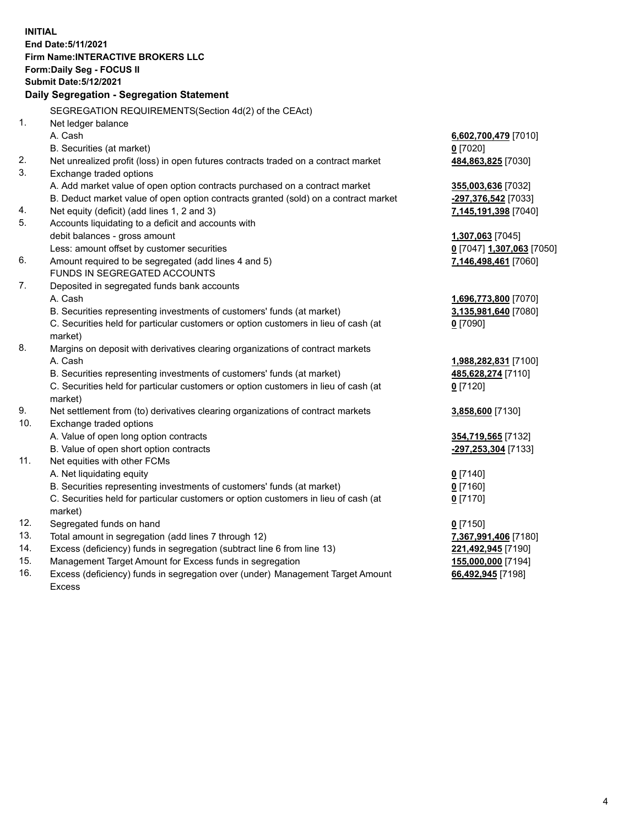**INITIAL End Date:5/11/2021 Firm Name:INTERACTIVE BROKERS LLC Form:Daily Seg - FOCUS II Submit Date:5/12/2021 Daily Segregation - Segregation Statement** SEGREGATION REQUIREMENTS(Section 4d(2) of the CEAct) 1. Net ledger balance A. Cash **6,602,700,479** [7010] B. Securities (at market) **0** [7020] 2. Net unrealized profit (loss) in open futures contracts traded on a contract market **484,863,825** [7030] 3. Exchange traded options A. Add market value of open option contracts purchased on a contract market **355,003,636** [7032] B. Deduct market value of open option contracts granted (sold) on a contract market **-297,376,542** [7033] 4. Net equity (deficit) (add lines 1, 2 and 3) **7,145,191,398** [7040] 5. Accounts liquidating to a deficit and accounts with debit balances - gross amount **1,307,063** [7045] Less: amount offset by customer securities **0** [7047] **1,307,063** [7050] 6. Amount required to be segregated (add lines 4 and 5) **7,146,498,461** [7060] FUNDS IN SEGREGATED ACCOUNTS 7. Deposited in segregated funds bank accounts A. Cash **1,696,773,800** [7070] B. Securities representing investments of customers' funds (at market) **3,135,981,640** [7080] C. Securities held for particular customers or option customers in lieu of cash (at market) **0** [7090] 8. Margins on deposit with derivatives clearing organizations of contract markets A. Cash **1,988,282,831** [7100] B. Securities representing investments of customers' funds (at market) **485,628,274** [7110] C. Securities held for particular customers or option customers in lieu of cash (at market) **0** [7120] 9. Net settlement from (to) derivatives clearing organizations of contract markets **3,858,600** [7130] 10. Exchange traded options A. Value of open long option contracts **354,719,565** [7132] B. Value of open short option contracts **-297,253,304** [7133] 11. Net equities with other FCMs A. Net liquidating equity **0** [7140] B. Securities representing investments of customers' funds (at market) **0** [7160] C. Securities held for particular customers or option customers in lieu of cash (at market) **0** [7170] 12. Segregated funds on hand **0** [7150] 13. Total amount in segregation (add lines 7 through 12) **7,367,991,406** [7180] 14. Excess (deficiency) funds in segregation (subtract line 6 from line 13) **221,492,945** [7190] 15. Management Target Amount for Excess funds in segregation **155,000,000** [7194]

16. Excess (deficiency) funds in segregation over (under) Management Target Amount Excess

**66,492,945** [7198]